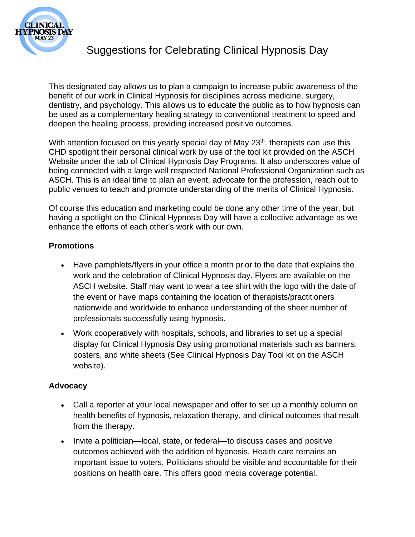

# Suggestions for Celebrating Clinical Hypnosis Day

This designated day allows us to plan a campaign to increase public awareness of the benefit of our work in Clinical Hypnosis for disciplines across medicine, surgery, dentistry, and psychology. This allows us to educate the public as to how hypnosis can be used as a complementary healing strategy to conventional treatment to speed and deepen the healing process, providing increased positive outcomes.

With attention focused on this yearly special day of May 23<sup>th</sup>, therapists can use this CHD spotlight their personal clinical work by use of the tool kit provided on the ASCH Website under the tab of Clinical Hypnosis Day Programs. It also underscores value of being connected with a large well respected National Professional Organization such as ASCH. This is an ideal time to plan an event, advocate for the profession, reach out to public venues to teach and promote understanding of the merits of Clinical Hypnosis.

Of course this education and marketing could be done any other time of the year, but having a spotlight on the Clinical Hypnosis Day will have a collective advantage as we enhance the efforts of each other's work with our own.

#### **Promotions**

- Have pamphlets/flyers in your office a month prior to the date that explains the work and the celebration of Clinical Hypnosis day. Flyers are available on the ASCH website. Staff may want to wear a tee shirt with the logo with the date of the event or have maps containing the location of therapists/practitioners nationwide and worldwide to enhance understanding of the sheer number of professionals successfully using hypnosis.
- Work cooperatively with hospitals, schools, and libraries to set up a special display for Clinical Hypnosis Day using promotional materials such as banners, posters, and white sheets (See Clinical Hypnosis Day Tool kit on the ASCH website).

#### **Advocacy**

- Call a reporter at your local newspaper and offer to set up a monthly column on health benefits of hypnosis, relaxation therapy, and clinical outcomes that result from the therapy.
- Invite a politician—local, state, or federal—to discuss cases and positive outcomes achieved with the addition of hypnosis. Health care remains an important issue to voters. Politicians should be visible and accountable for their positions on health care. This offers good media coverage potential.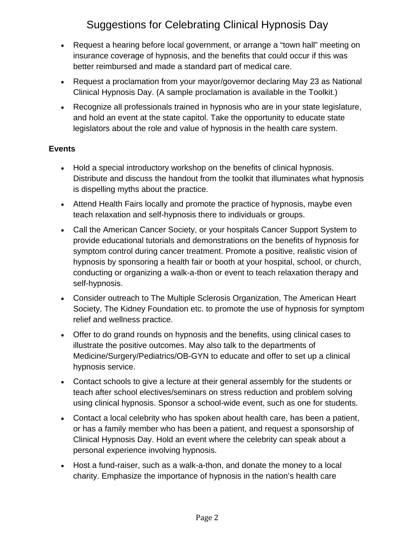# Suggestions for Celebrating Clinical Hypnosis Day

- Request a hearing before local government, or arrange a "town hall" meeting on insurance coverage of hypnosis, and the benefits that could occur if this was better reimbursed and made a standard part of medical care.
- Request a proclamation from your mayor/governor declaring May 23 as National Clinical Hypnosis Day. (A sample proclamation is available in the Toolkit.)
- Recognize all professionals trained in hypnosis who are in your state legislature, and hold an event at the state capitol. Take the opportunity to educate state legislators about the role and value of hypnosis in the health care system.

#### **Events**

- Hold a special introductory workshop on the benefits of clinical hypnosis. Distribute and discuss the handout from the toolkit that illuminates what hypnosis is dispelling myths about the practice.
- Attend Health Fairs locally and promote the practice of hypnosis, maybe even teach relaxation and self-hypnosis there to individuals or groups.
- Call the American Cancer Society, or your hospitals Cancer Support System to provide educational tutorials and demonstrations on the benefits of hypnosis for symptom control during cancer treatment. Promote a positive, realistic vision of hypnosis by sponsoring a health fair or booth at your hospital, school, or church, conducting or organizing a walk-a-thon or event to teach relaxation therapy and self-hypnosis.
- Consider outreach to The Multiple Sclerosis Organization, The American Heart Society, The Kidney Foundation etc. to promote the use of hypnosis for symptom relief and wellness practice.
- Offer to do grand rounds on hypnosis and the benefits, using clinical cases to illustrate the positive outcomes. May also talk to the departments of Medicine/Surgery/Pediatrics/OB-GYN to educate and offer to set up a clinical hypnosis service.
- Contact schools to give a lecture at their general assembly for the students or teach after school electives/seminars on stress reduction and problem solving using clinical hypnosis. Sponsor a school-wide event, such as one for students.
- Contact a local celebrity who has spoken about health care, has been a patient, or has a family member who has been a patient, and request a sponsorship of Clinical Hypnosis Day. Hold an event where the celebrity can speak about a personal experience involving hypnosis.
- Host a fund-raiser, such as a walk-a-thon, and donate the money to a local charity. Emphasize the importance of hypnosis in the nation's health care